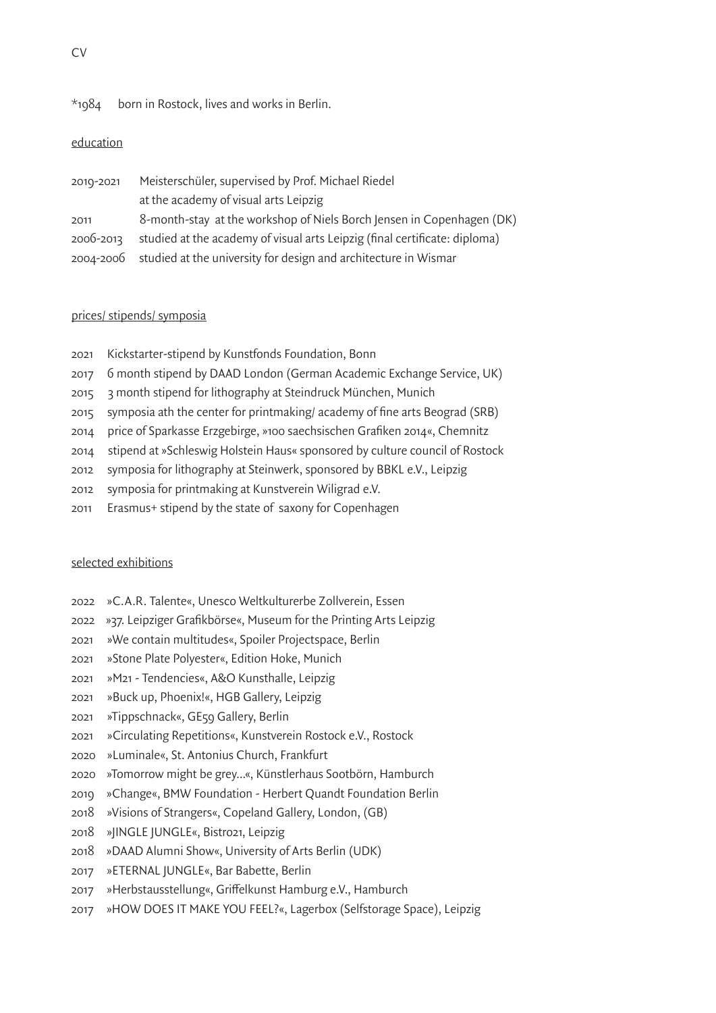#### $*$ 1984 born in Rostock, lives and works in Berlin.

## education

| 2010-2021 | Meisterschüler, supervised by Prof. Michael Riedel                         |
|-----------|----------------------------------------------------------------------------|
|           | at the academy of visual arts Leipzig                                      |
| 2011      | 8-month-stay at the workshop of Niels Borch Jensen in Copenhagen (DK)      |
| 2006-2013 | studied at the academy of visual arts Leipzig (final certificate: diploma) |
|           | 2004-2006 studied at the university for design and architecture in Wismar  |

#### prices/ stipends/ symposia

- 2021 Kickstarter-stipend by Kunstfonds Foundation, Bonn
- 2017 6 month stipend by DAAD London (German Academic Exchange Service, UK)
- 2015 3 month stipend for lithography at Steindruck München, Munich
- 2015 symposia ath the center for printmaking/ academy of fine arts Beograd (SRB)
- 2014 price of Sparkasse Erzgebirge, »100 saechsischen Grafiken 2014«, Chemnitz
- 2014 stipend at »Schleswig Holstein Haus« sponsored by culture council of Rostock
- 2012 symposia for lithography at Steinwerk, sponsored by BBKL e.V., Leipzig
- 2012 symposia for printmaking at Kunstverein Wiligrad e.V.
- 2011 Erasmus+ stipend by the state of saxony for Copenhagen

#### selected exhibitions

- 2022 »C.A.R. Talente«, Unesco Weltkulturerbe Zollverein, Essen
- 2022 »37. Leipziger Grafikbörse«, Museum for the Printing Arts Leipzig
- 2021 »We contain multitudes«, Spoiler Projectspace, Berlin
- 2021 »Stone Plate Polyester«, Edition Hoke, Munich
- 2021 »M21 Tendencies«, A&O Kunsthalle, Leipzig
- 2021 »Buck up, Phoenix!«, HGB Gallery, Leipzig
- 2021 »Tippschnack«, GE59 Gallery, Berlin
- 2021 »Circulating Repetitions«, Kunstverein Rostock e.V., Rostock
- 2020 »Luminale«, St. Antonius Church, Frankfurt
- 2020 »Tomorrow might be grey...«, Künstlerhaus Sootbörn, Hamburch
- 2019 »Change«, BMW Foundation Herbert Quandt Foundation Berlin
- 2018 »Visions of Strangers«, Copeland Gallery, London, (GB)
- 2018 »JINGLE JUNGLE«, Bistro21, Leipzig
- 2018 »DAAD Alumni Show«, University of Arts Berlin (UDK)
- 2017 »ETERNAL JUNGLE«, Bar Babette, Berlin
- 2017 »Herbstausstellung«, Griffelkunst Hamburg e.V., Hamburch
- 2017 »HOW DOES IT MAKE YOU FEEL?«, Lagerbox (Selfstorage Space), Leipzig